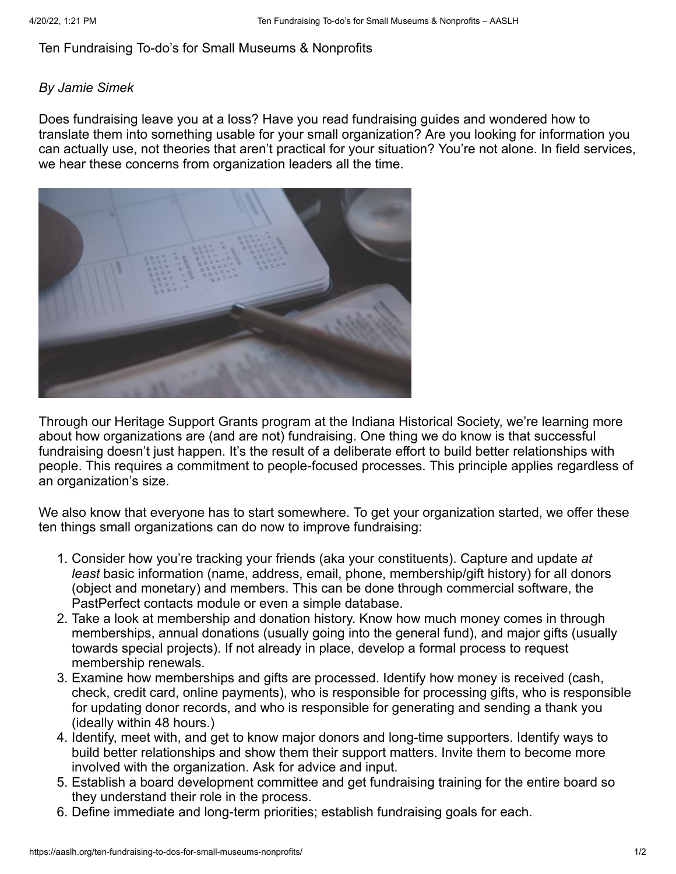## Ten Fundraising To-do's for Small Museums & Nonprofits

## *By Jamie Simek*

Does fundraising leave you at a loss? Have you read fundraising guides and wondered how to translate them into something usable for your small organization? Are you looking for information you can actually use, not theories that aren't practical for your situation? You're not alone. In field services, we hear these concerns from organization leaders all the time.



Through our [Heritage Support Grants](http://www.indianahistory.org/grants) program at the Indiana Historical Society, we're learning more about how organizations are (and are not) fundraising. One thing we do know is that successful fundraising doesn't just happen. It's the result of a deliberate effort to build better relationships with people. This requires a commitment to people-focused processes. This principle applies regardless of an organization's size.

We also know that everyone has to start somewhere. To get your organization started, we offer these ten things small organizations can do now to improve fundraising:

- 1. Consider how you're tracking your friends (aka your constituents). Capture and update *at least* basic information (name, address, email, phone, membership/gift history) for all donors (object and monetary) and members. This can be done through commercial software, the PastPerfect contacts module or even a simple database.
- 2. Take a look at membership and donation history. Know how much money comes in through memberships, annual donations (usually going into the general fund), and major gifts (usually towards special projects). If not already in place, develop a formal process to request membership renewals.
- 3. Examine how memberships and gifts are processed. Identify how money is received (cash, check, credit card, online payments), who is responsible for processing gifts, who is responsible for updating donor records, and who is responsible for generating and sending a thank you (ideally within 48 hours.)
- 4. Identify, meet with, and get to know major donors and long-time supporters. Identify ways to build better relationships and show them their support matters. Invite them to become more involved with the organization. Ask for advice and input.
- 5. Establish a board development committee and get fundraising training for the entire board so they understand their role in the process.
- 6. Define immediate and long-term priorities; establish fundraising goals for each.